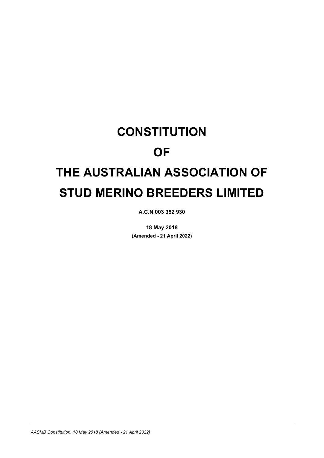# **CONSTITUTION OF THE AUSTRALIAN ASSOCIATION OF STUD MERINO BREEDERS LIMITED**

**A.C.N 003 352 930**

**18 May 2018 (Amended - 21 April 2022)**

*AASMB Constitution, 18 May 2018 (Amended - 21 April 2022)*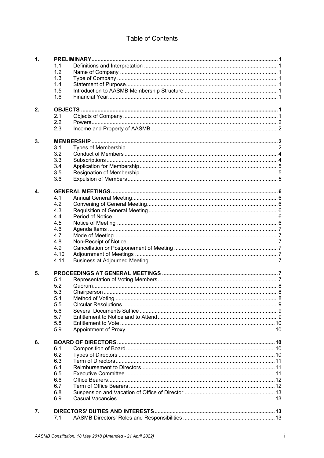| $\mathbf{1}$ .     |      |  |  |  |  |  |  |
|--------------------|------|--|--|--|--|--|--|
|                    | 1.1  |  |  |  |  |  |  |
|                    | 1.2  |  |  |  |  |  |  |
|                    | 1.3  |  |  |  |  |  |  |
|                    | 1.4  |  |  |  |  |  |  |
|                    | 1.5  |  |  |  |  |  |  |
|                    | 1.6  |  |  |  |  |  |  |
|                    |      |  |  |  |  |  |  |
| 2.                 |      |  |  |  |  |  |  |
|                    | 2.1  |  |  |  |  |  |  |
|                    | 2.2  |  |  |  |  |  |  |
|                    | 2.3  |  |  |  |  |  |  |
| 3.                 |      |  |  |  |  |  |  |
|                    | 3.1  |  |  |  |  |  |  |
|                    | 3.2  |  |  |  |  |  |  |
|                    | 3.3  |  |  |  |  |  |  |
|                    | 3.4  |  |  |  |  |  |  |
|                    | 3.5  |  |  |  |  |  |  |
|                    | 3.6  |  |  |  |  |  |  |
|                    |      |  |  |  |  |  |  |
| $\boldsymbol{4}$ . |      |  |  |  |  |  |  |
|                    | 4.1  |  |  |  |  |  |  |
|                    | 4.2  |  |  |  |  |  |  |
|                    | 4.3  |  |  |  |  |  |  |
|                    | 4.4  |  |  |  |  |  |  |
|                    | 4.5  |  |  |  |  |  |  |
|                    | 4.6  |  |  |  |  |  |  |
|                    | 4.7  |  |  |  |  |  |  |
|                    | 4.8  |  |  |  |  |  |  |
|                    | 4.9  |  |  |  |  |  |  |
|                    | 4.10 |  |  |  |  |  |  |
|                    | 4.11 |  |  |  |  |  |  |
| 5.                 |      |  |  |  |  |  |  |
|                    | 5.1  |  |  |  |  |  |  |
|                    | 5.2  |  |  |  |  |  |  |
|                    | 5.3  |  |  |  |  |  |  |
|                    | 5.4  |  |  |  |  |  |  |
|                    | 5.5  |  |  |  |  |  |  |
|                    | 5.6  |  |  |  |  |  |  |
|                    | 5.7  |  |  |  |  |  |  |
|                    | 5.8  |  |  |  |  |  |  |
|                    | 5.9  |  |  |  |  |  |  |
| 6.                 |      |  |  |  |  |  |  |
|                    | 6.1  |  |  |  |  |  |  |
|                    | 6.2  |  |  |  |  |  |  |
|                    | 6.3  |  |  |  |  |  |  |
|                    | 6.4  |  |  |  |  |  |  |
|                    | 6.5  |  |  |  |  |  |  |
|                    | 6.6  |  |  |  |  |  |  |
|                    |      |  |  |  |  |  |  |
|                    | 6.7  |  |  |  |  |  |  |
|                    | 6.8  |  |  |  |  |  |  |
|                    | 6.9  |  |  |  |  |  |  |
| 7.                 |      |  |  |  |  |  |  |
|                    | 7.1  |  |  |  |  |  |  |
|                    |      |  |  |  |  |  |  |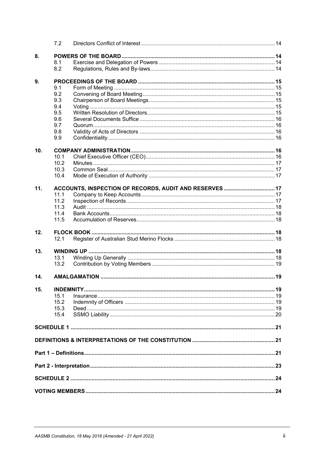|     | 7.2  |                                                         |  |  |  |  |  |
|-----|------|---------------------------------------------------------|--|--|--|--|--|
| 8.  |      |                                                         |  |  |  |  |  |
|     | 8.1  |                                                         |  |  |  |  |  |
|     | 8.2  |                                                         |  |  |  |  |  |
|     |      |                                                         |  |  |  |  |  |
| 9.  |      |                                                         |  |  |  |  |  |
|     | 9.1  |                                                         |  |  |  |  |  |
|     | 9.2  |                                                         |  |  |  |  |  |
|     | 9.3  |                                                         |  |  |  |  |  |
|     | 9.4  |                                                         |  |  |  |  |  |
|     | 9.5  |                                                         |  |  |  |  |  |
|     | 9.6  |                                                         |  |  |  |  |  |
|     | 9.7  |                                                         |  |  |  |  |  |
|     | 9.8  |                                                         |  |  |  |  |  |
|     | 9.9  |                                                         |  |  |  |  |  |
|     |      |                                                         |  |  |  |  |  |
| 10. |      |                                                         |  |  |  |  |  |
|     | 10.1 |                                                         |  |  |  |  |  |
|     | 10.2 |                                                         |  |  |  |  |  |
|     | 10.3 |                                                         |  |  |  |  |  |
|     | 10.4 |                                                         |  |  |  |  |  |
| 11. |      | ACCOUNTS, INSPECTION OF RECORDS, AUDIT AND RESERVES  17 |  |  |  |  |  |
|     | 11.1 |                                                         |  |  |  |  |  |
|     | 11.2 |                                                         |  |  |  |  |  |
|     | 11.3 |                                                         |  |  |  |  |  |
|     | 11.4 |                                                         |  |  |  |  |  |
|     |      |                                                         |  |  |  |  |  |
|     | 11.5 |                                                         |  |  |  |  |  |
| 12. |      |                                                         |  |  |  |  |  |
|     | 12.1 |                                                         |  |  |  |  |  |
|     |      |                                                         |  |  |  |  |  |
| 13. |      |                                                         |  |  |  |  |  |
|     | 13.1 |                                                         |  |  |  |  |  |
|     | 13.2 |                                                         |  |  |  |  |  |
| 14. |      |                                                         |  |  |  |  |  |
|     |      |                                                         |  |  |  |  |  |
| 15. |      |                                                         |  |  |  |  |  |
|     | 15.1 |                                                         |  |  |  |  |  |
|     | 15.2 |                                                         |  |  |  |  |  |
|     | 15.3 |                                                         |  |  |  |  |  |
|     | 15.4 |                                                         |  |  |  |  |  |
|     |      |                                                         |  |  |  |  |  |
|     |      |                                                         |  |  |  |  |  |
|     |      |                                                         |  |  |  |  |  |
|     |      |                                                         |  |  |  |  |  |
|     |      |                                                         |  |  |  |  |  |
|     |      |                                                         |  |  |  |  |  |
|     |      |                                                         |  |  |  |  |  |
|     |      |                                                         |  |  |  |  |  |
|     |      |                                                         |  |  |  |  |  |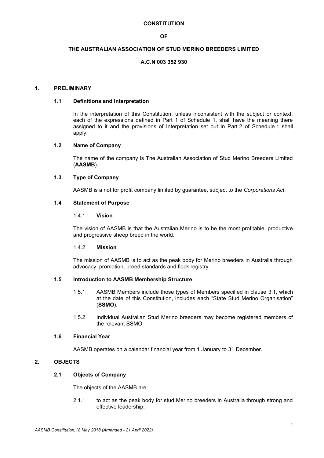#### **CONSTITUTION**

## **OF**

## **THE AUSTRALIAN ASSOCIATION OF STUD MERINO BREEDERS LIMITED**

## **A.C.N 003 352 930**

## **1. PRELIMINARY**

#### **1.1 Definitions and Interpretation**

In the interpretation of this Constitution, unless inconsistent with the subject or context, each of the expressions defined in Part 1 of Schedule 1, shall have the meaning there assigned to it and the provisions of Interpretation set out in Part 2 of Schedule 1 shall apply.

## **1.2 Name of Company**

The name of the company is The Australian Association of Stud Merino Breeders Limited (**AASMB**).

#### **1.3 Type of Company**

AASMB is a not for profit company limited by guarantee, subject to the *Corporations Act*.

#### **1.4 Statement of Purpose**

#### 1.4.1 **Vision**

The vision of AASMB is that the Australian Merino is to be the most profitable, productive and progressive sheep breed in the world.

#### 1.4.2 **Mission**

The mission of AASMB is to act as the peak body for Merino breeders in Australia through advocacy, promotion, breed standards and flock registry.

#### **1.5 Introduction to AASMB Membership Structure**

- 1.5.1 AASMB Members include those types of Members specified in clause [3.1,](#page-4-0) which at the date of this Constitution, includes each "State Stud Merino Organisation" (**SSMO**).
- 1.5.2 Individual Australian Stud Merino breeders may become registered members of the relevant SSMO.

#### **1.6 Financial Year**

AASMB operates on a calendar financial year from 1 January to 31 December.

# **2. OBJECTS**

## **2.1 Objects of Company**

The objects of the AASMB are:

2.1.1 to act as the peak body for stud Merino breeders in Australia through strong and effective leadership;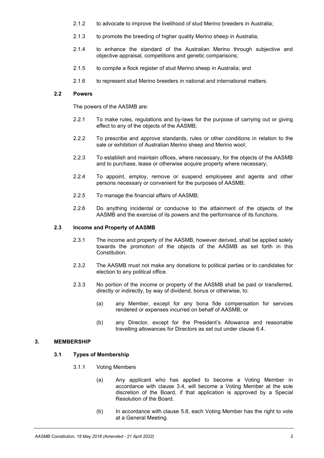- 2.1.2 to advocate to improve the livelihood of stud Merino breeders in Australia;
- 2.1.3 to promote the breeding of higher quality Merino sheep in Australia;
- 2.1.4 to enhance the standard of the Australian Merino through subjective and objective appraisal, competitions and genetic comparisons;
- 2.1.5 to compile a flock register of stud Merino sheep in Australia; and
- 2.1.6 to represent stud Merino breeders in national and international matters.

## **2.2 Powers**

The powers of the AASMB are:

- 2.2.1 To make rules, regulations and by-laws for the purpose of carrying out or giving effect to any of the objects of the AASMB;
- 2.2.2 To prescribe and approve standards, rules or other conditions in relation to the sale or exhibition of Australian Merino sheep and Merino wool;
- 2.2.3 To establish and maintain offices, where necessary, for the objects of the AASMB and to purchase, lease or otherwise acquire property where necessary;
- 2.2.4 To appoint, employ, remove or suspend employees and agents and other persons necessary or convenient for the purposes of AASMB;
- 2.2.5 To manage the financial affairs of AASMB;
- 2.2.6 Do anything incidental or conducive to the attainment of the objects of the AASMB and the exercise of its powers and the performance of its functions.

#### **2.3 Income and Property of AASMB**

- 2.3.1 The income and property of the AASMB, however derived, shall be applied solely towards the promotion of the objects of the AASMB as set forth in this Constitution.
- 2.3.2 The AASMB must not make any donations to political parties or to candidates for election to any political office.
- 2.3.3 No portion of the income or property of the AASMB shall be paid or transferred, directly or indirectly, by way of dividend, bonus or otherwise, to:
	- (a) any Member, except for any bona fide compensation for services rendered or expenses incurred on behalf of AASMB; or
	- (b) any Director, except for the President's Allowance and reasonable travelling allowances for Directors as set out under clause [6.4.](#page-13-0)

## <span id="page-4-0"></span>**3. MEMBERSHIP**

## <span id="page-4-1"></span>**3.1 Types of Membership**

- 3.1.1 Voting Members
	- (a) Any applicant who has applied to become a Voting Member in accordance with clause [3.4,](#page-7-0) will become a Voting Member at the sole discretion of the Board, if that application is approved by a Special Resolution of the Board.
	- (b) In accordance with clause [5.8,](#page-12-0) each Voting Member has the right to vote at a General Meeting.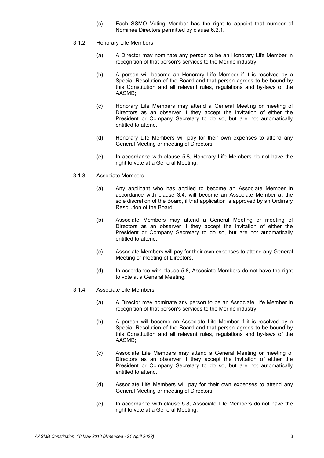- (c) Each SSMO Voting Member has the right to appoint that number of Nominee Directors permitted by clause [6.2.1.](#page-12-1)
- <span id="page-5-2"></span>3.1.2 Honorary Life Members
	- (a) A Director may nominate any person to be an Honorary Life Member in recognition of that person's services to the Merino industry.
	- (b) A person will become an Honorary Life Member if it is resolved by a Special Resolution of the Board and that person agrees to be bound by this Constitution and all relevant rules, regulations and by-laws of the AASMB;
	- (c) Honorary Life Members may attend a General Meeting or meeting of Directors as an observer if they accept the invitation of either the President or Company Secretary to do so, but are not automatically entitled to attend.
	- (d) Honorary Life Members will pay for their own expenses to attend any General Meeting or meeting of Directors.
	- (e) In accordance with clause [5.8,](#page-12-0) Honorary Life Members do not have the right to vote at a General Meeting.
- <span id="page-5-1"></span>3.1.3 Associate Members
	- (a) Any applicant who has applied to become an Associate Member in accordance with clause [3.4,](#page-7-0) will become an Associate Member at the sole discretion of the Board, if that application is approved by an Ordinary Resolution of the Board.
	- (b) Associate Members may attend a General Meeting or meeting of Directors as an observer if they accept the invitation of either the President or Company Secretary to do so, but are not automatically entitled to attend.
	- (c) Associate Members will pay for their own expenses to attend any General Meeting or meeting of Directors.
	- (d) In accordance with clause [5.8,](#page-12-0) Associate Members do not have the right to vote at a General Meeting.
- <span id="page-5-0"></span>3.1.4 Associate Life Members
	- (a) A Director may nominate any person to be an Associate Life Member in recognition of that person's services to the Merino industry.
	- (b) A person will become an Associate Life Member if it is resolved by a Special Resolution of the Board and that person agrees to be bound by this Constitution and all relevant rules, regulations and by-laws of the AASMB;
	- (c) Associate Life Members may attend a General Meeting or meeting of Directors as an observer if they accept the invitation of either the President or Company Secretary to do so, but are not automatically entitled to attend.
	- (d) Associate Life Members will pay for their own expenses to attend any General Meeting or meeting of Directors.
	- (e) In accordance with clause [5.8,](#page-12-0) Associate Life Members do not have the right to vote at a General Meeting.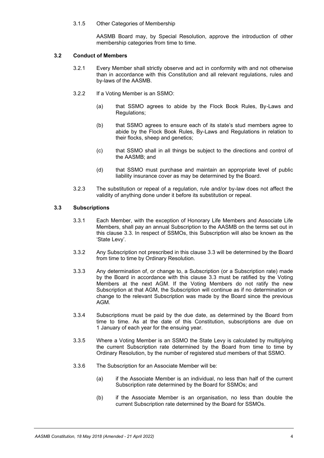#### 3.1.5 Other Categories of Membership

AASMB Board may, by Special Resolution, approve the introduction of other membership categories from time to time.

#### **3.2 Conduct of Members**

- 3.2.1 Every Member shall strictly observe and act in conformity with and not otherwise than in accordance with this Constitution and all relevant regulations, rules and by-laws of the AASMB.
- 3.2.2 If a Voting Member is an SSMO:
	- (a) that SSMO agrees to abide by the Flock Book Rules, By-Laws and Regulations;
	- (b) that SSMO agrees to ensure each of its state's stud members agree to abide by the Flock Book Rules, By-Laws and Regulations in relation to their flocks, sheep and genetics;
	- (c) that SSMO shall in all things be subject to the directions and control of the AASMB; and
	- (d) that SSMO must purchase and maintain an appropriate level of public liability insurance cover as may be determined by the Board.
- 3.2.3 The substitution or repeal of a regulation, rule and/or by-law does not affect the validity of anything done under it before its substitution or repeal.

#### <span id="page-6-0"></span>**3.3 Subscriptions**

- 3.3.1 Each Member, with the exception of Honorary Life Members and Associate Life Members, shall pay an annual Subscription to the AASMB on the terms set out in this clause [3.3.](#page-6-0) In respect of SSMOs, this Subscription will also be known as the 'State Levy'.
- 3.3.2 Any Subscription not prescribed in this clause [3.3](#page-6-0) will be determined by the Board from time to time by Ordinary Resolution.
- <span id="page-6-1"></span>3.3.3 Any determination of, or change to, a Subscription (or a Subscription rate) made by the Board in accordance with this clause [3.3](#page-6-0) must be ratified by the Voting Members at the next AGM. If the Voting Members do not ratify the new Subscription at that AGM, the Subscription will continue as if no determination or change to the relevant Subscription was made by the Board since the previous AGM.
- 3.3.4 Subscriptions must be paid by the due date, as determined by the Board from time to time. As at the date of this Constitution, subscriptions are due on 1 January of each year for the ensuing year.
- 3.3.5 Where a Voting Member is an SSMO the State Levy is calculated by multiplying the current Subscription rate determined by the Board from time to time by Ordinary Resolution, by the number of registered stud members of that SSMO.
- 3.3.6 The Subscription for an Associate Member will be:
	- (a) if the Associate Member is an individual, no less than half of the current Subscription rate determined by the Board for SSMOs; and
	- (b) if the Associate Member is an organisation, no less than double the current Subscription rate determined by the Board for SSMOs.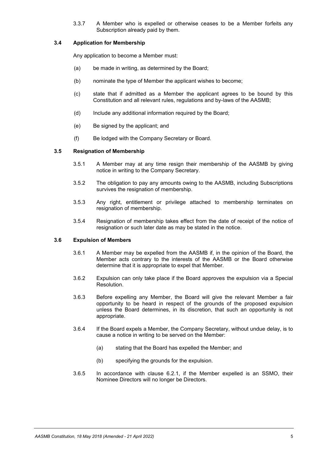3.3.7 A Member who is expelled or otherwise ceases to be a Member forfeits any Subscription already paid by them.

#### <span id="page-7-0"></span>**3.4 Application for Membership**

Any application to become a Member must:

- (a) be made in writing, as determined by the Board;
- (b) nominate the type of Member the applicant wishes to become;
- (c) state that if admitted as a Member the applicant agrees to be bound by this Constitution and all relevant rules, regulations and by-laws of the AASMB;
- (d) Include any additional information required by the Board;
- (e) Be signed by the applicant; and
- (f) Be lodged with the Company Secretary or Board.

#### **3.5 Resignation of Membership**

- 3.5.1 A Member may at any time resign their membership of the AASMB by giving notice in writing to the Company Secretary.
- 3.5.2 The obligation to pay any amounts owing to the AASMB, including Subscriptions survives the resignation of membership.
- 3.5.3 Any right, entitlement or privilege attached to membership terminates on resignation of membership.
- 3.5.4 Resignation of membership takes effect from the date of receipt of the notice of resignation or such later date as may be stated in the notice.

#### **3.6 Expulsion of Members**

- 3.6.1 A Member may be expelled from the AASMB if, in the opinion of the Board, the Member acts contrary to the interests of the AASMB or the Board otherwise determine that it is appropriate to expel that Member.
- 3.6.2 Expulsion can only take place if the Board approves the expulsion via a Special Resolution.
- 3.6.3 Before expelling any Member, the Board will give the relevant Member a fair opportunity to be heard in respect of the grounds of the proposed expulsion unless the Board determines, in its discretion, that such an opportunity is not appropriate.
- 3.6.4 If the Board expels a Member, the Company Secretary, without undue delay, is to cause a notice in writing to be served on the Member:
	- (a) stating that the Board has expelled the Member; and
	- (b) specifying the grounds for the expulsion.
- 3.6.5 In accordance with clause [6.2.1,](#page-12-1) if the Member expelled is an SSMO, their Nominee Directors will no longer be Directors.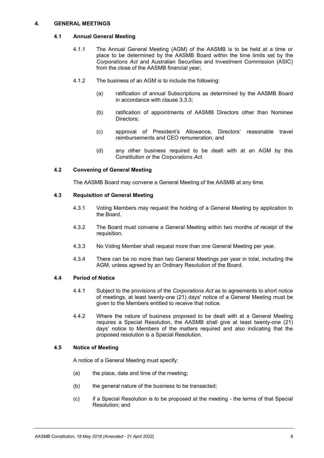#### **4. GENERAL MEETINGS**

## **4.1 Annual General Meeting**

- 4.1.1 The Annual General Meeting (AGM) of the AASMB is to be held at a time or place to be determined by the AASMB Board within the time limits set by the *Corporations Act* and Australian Securities and Investment Commission (ASIC) from the close of the AASMB financial year;
- <span id="page-8-0"></span>4.1.2 The business of an AGM is to include the following:
	- (a) ratification of annual Subscriptions as determined by the AASMB Board in accordance with clause [3.3.3;](#page-6-1)
	- (b) ratification of appointments of AASMB Directors other than Nominee Directors;
	- (c) approval of President's Allowance, Directors' reasonable travel reimbursements and CEO remuneration; and
	- (d) any other business required to be dealt with at an AGM by this Constitution or the *Corporations Act*.

## **4.2 Convening of General Meeting**

The AASMB Board may convene a General Meeting of the AASMB at any time.

#### **4.3 Requisition of General Meeting**

- 4.3.1 Voting Members may request the holding of a General Meeting by application to the Board.
- 4.3.2 The Board must convene a General Meeting within two months of receipt of the requisition.
- 4.3.3 No Voting Member shall request more than one General Meeting per year.
- 4.3.4 There can be no more than two General Meetings per year in total, including the AGM, unless agreed by an Ordinary Resolution of the Board.

## **4.4 Period of Notice**

- 4.4.1 Subject to the provisions of the *Corporations Act* as to agreements to short notice of meetings, at least twenty-one (21) days' notice of a General Meeting must be given to the Members entitled to receive that notice.
- 4.4.2 Where the nature of business proposed to be dealt with at a General Meeting requires a Special Resolution, the AASMB shall give at least twenty-one (21) days' notice to Members of the matters required and also indicating that the proposed resolution is a Special Resolution.

## **4.5 Notice of Meeting**

A notice of a General Meeting must specify:

- (a) the place, date and time of the meeting;
- (b) the general nature of the business to be transacted;
- (c) if a Special Resolution is to be proposed at the meeting the terms of that Special Resolution; and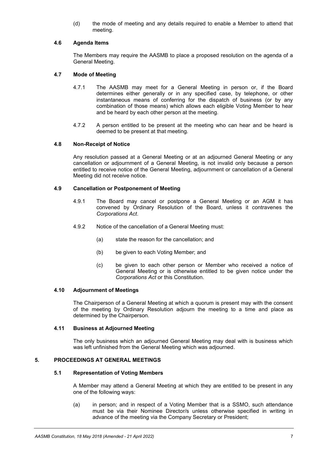(d) the mode of meeting and any details required to enable a Member to attend that meeting.

## **4.6 Agenda Items**

The Members may require the AASMB to place a proposed resolution on the agenda of a General Meeting.

## **4.7 Mode of Meeting**

- 4.7.1 The AASMB may meet for a General Meeting in person or, if the Board determines either generally or in any specified case, by telephone, or other instantaneous means of conferring for the dispatch of business (or by any combination of those means) which allows each eligible Voting Member to hear and be heard by each other person at the meeting.
- 4.7.2 A person entitled to be present at the meeting who can hear and be heard is deemed to be present at that meeting.

#### **4.8 Non-Receipt of Notice**

Any resolution passed at a General Meeting or at an adjourned General Meeting or any cancellation or adjournment of a General Meeting, is not invalid only because a person entitled to receive notice of the General Meeting, adjournment or cancellation of a General Meeting did not receive notice.

## **4.9 Cancellation or Postponement of Meeting**

- 4.9.1 The Board may cancel or postpone a General Meeting or an AGM it has convened by Ordinary Resolution of the Board, unless it contravenes the *Corporations Act*.
- 4.9.2 Notice of the cancellation of a General Meeting must:
	- (a) state the reason for the cancellation; and
	- (b) be given to each Voting Member; and
	- (c) be given to each other person or Member who received a notice of General Meeting or is otherwise entitled to be given notice under the *Corporations Act* or this Constitution.

#### **4.10 Adjournment of Meetings**

The Chairperson of a General Meeting at which a quorum is present may with the consent of the meeting by Ordinary Resolution adjourn the meeting to a time and place as determined by the Chairperson.

#### **4.11 Business at Adjourned Meeting**

The only business which an adjourned General Meeting may deal with is business which was left unfinished from the General Meeting which was adjourned.

## <span id="page-9-0"></span>**5. PROCEEDINGS AT GENERAL MEETINGS**

## <span id="page-9-1"></span>**5.1 Representation of Voting Members**

A Member may attend a General Meeting at which they are entitled to be present in any one of the following ways:

(a) in person; and in respect of a Voting Member that is a SSMO, such attendance must be via their Nominee Director/s unless otherwise specified in writing in advance of the meeting via the Company Secretary or President;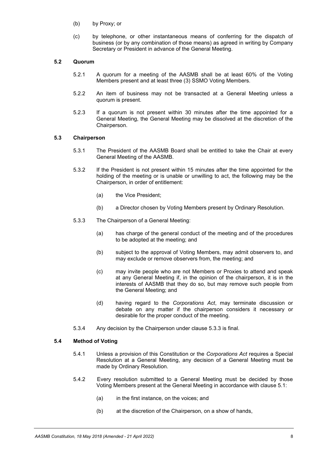- (b) by Proxy; or
- (c) by telephone, or other instantaneous means of conferring for the dispatch of business (or by any combination of those means) as agreed in writing by Company Secretary or President in advance of the General Meeting.

## **5.2 Quorum**

- 5.2.1 A quorum for a meeting of the AASMB shall be at least 60% of the Voting Members present and at least three (3) SSMO Voting Members.
- 5.2.2 An item of business may not be transacted at a General Meeting unless a quorum is present.
- 5.2.3 If a quorum is not present within 30 minutes after the time appointed for a General Meeting, the General Meeting may be dissolved at the discretion of the Chairperson.

#### **5.3 Chairperson**

- 5.3.1 The President of the AASMB Board shall be entitled to take the Chair at every General Meeting of the AASMB.
- 5.3.2 If the President is not present within 15 minutes after the time appointed for the holding of the meeting or is unable or unwilling to act, the following may be the Chairperson, in order of entitlement:
	- (a) the Vice President;
	- (b) a Director chosen by Voting Members present by Ordinary Resolution.
- <span id="page-10-0"></span>5.3.3 The Chairperson of a General Meeting:
	- (a) has charge of the general conduct of the meeting and of the procedures to be adopted at the meeting; and
	- (b) subject to the approval of Voting Members, may admit observers to, and may exclude or remove observers from, the meeting; and
	- (c) may invite people who are not Members or Proxies to attend and speak at any General Meeting if, in the opinion of the chairperson, it is in the interests of AASMB that they do so, but may remove such people from the General Meeting; and
	- (d) having regard to the *Corporations Act*, may terminate discussion or debate on any matter if the chairperson considers it necessary or desirable for the proper conduct of the meeting.
- 5.3.4 Any decision by the Chairperson under clause [5.3.3](#page-10-0) is final.

#### **5.4 Method of Voting**

- 5.4.1 Unless a provision of this Constitution or the *Corporations Act* requires a Special Resolution at a General Meeting, any decision of a General Meeting must be made by Ordinary Resolution.
- 5.4.2 Every resolution submitted to a General Meeting must be decided by those Voting Members present at the General Meeting in accordance with claus[e 5.1:](#page-9-0)
	- (a) in the first instance, on the voices; and
	- (b) at the discretion of the Chairperson, on a show of hands,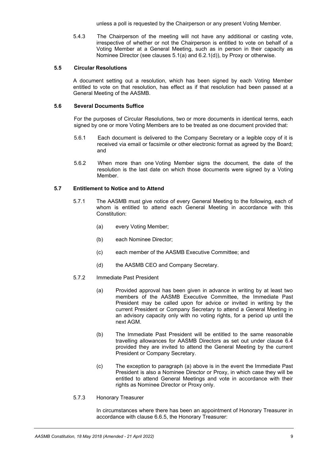unless a poll is requested by the Chairperson or any present Voting Member.

5.4.3 The Chairperson of the meeting will not have any additional or casting vote, irrespective of whether or not the Chairperson is entitled to vote on behalf of a Voting Member at a General Meeting, such as in person in their capacity as Nominee Director (see clauses [5.1\(a\)](#page-9-1) and [6.2.1\(d\)\)](#page-13-1), by Proxy or otherwise.

## **5.5 Circular Resolutions**

A document setting out a resolution, which has been signed by each Voting Member entitled to vote on that resolution, has effect as if that resolution had been passed at a General Meeting of the AASMB.

## **5.6 Several Documents Suffice**

For the purposes of Circular Resolutions, two or more documents in identical terms, each signed by one or more Voting Members are to be treated as one document provided that:

- 5.6.1 Each document is delivered to the Company Secretary or a legible copy of it is received via email or facsimile or other electronic format as agreed by the Board; and
- 5.6.2 When more than one Voting Member signs the document, the date of the resolution is the last date on which those documents were signed by a Voting Member.

## **5.7 Entitlement to Notice and to Attend**

- 5.7.1 The AASMB must give notice of every General Meeting to the following, each of whom is entitled to attend each General Meeting in accordance with this Constitution:
	- (a) every Voting Member;
	- (b) each Nominee Director;
	- (c) each member of the AASMB Executive Committee; and
	- (d) the AASMB CEO and Company Secretary.
- <span id="page-11-0"></span>5.7.2 Immediate Past President
	- (a) Provided approval has been given in advance in writing by at least two members of the AASMB Executive Committee, the Immediate Past President may be called upon for advice or invited in writing by the current President or Company Secretary to attend a General Meeting in an advisory capacity only with no voting rights, for a period up until the next AGM.
	- (b) The Immediate Past President will be entitled to the same reasonable travelling allowances for AASMB Directors as set out under clause 6.4 provided they are invited to attend the General Meeting by the current President or Company Secretary.
	- (c) The exception to paragraph [\(a\)](#page-11-0) above is in the event the Immediate Past President is also a Nominee Director or Proxy, in which case they will be entitled to attend General Meetings and vote in accordance with their rights as Nominee Director or Proxy only.
- <span id="page-11-1"></span>5.7.3 Honorary Treasurer

In circumstances where there has been an appointment of Honorary Treasurer in accordance with clause [6.6.5,](#page-14-0) the Honorary Treasurer: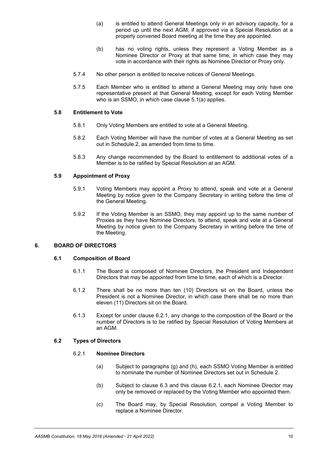- (a) is entitled to attend General Meetings only in an advisory capacity, for a period up until the next AGM, if approved via a Special Resolution at a properly convened Board meeting at the time they are appointed.
- (b) has no voting rights, unless they represent a Voting Member as a Nominee Director or Proxy at that same time, in which case they may vote in accordance with their rights as Nominee Director or Proxy only.
- 5.7.4 No other person is entitled to receive notices of General Meetings.
- 5.7.5 Each Member who is entitled to attend a General Meeting may only have one representative present at that General Meeting, except for each Voting Member who is an SSMO, in which case clause [5.1\(a\)](#page-9-1) applies.

## <span id="page-12-0"></span>**5.8 Entitlement to Vote**

- 5.8.1 Only Voting Members are entitled to vote at a General Meeting.
- 5.8.2 Each Voting Member will have the number of votes at a General Meeting as set out in Schedule 2, as amended from time to time.
- 5.8.3 Any change recommended by the Board to entitlement to additional votes of a Member is to be ratified by Special Resolution at an AGM.

### <span id="page-12-2"></span>**5.9 Appointment of Proxy**

- 5.9.1 Voting Members may appoint a Proxy to attend, speak and vote at a General Meeting by notice given to the Company Secretary in writing before the time of the General Meeting.
- 5.9.2 If the Voting Member is an SSMO, they may appoint up to the same number of Proxies as they have Nominee Directors, to attend, speak and vote at a General Meeting by notice given to the Company Secretary in writing before the time of the Meeting.

## **6. BOARD OF DIRECTORS**

#### **6.1 Composition of Board**

- 6.1.1 The Board is composed of Nominee Directors, the President and Independent Directors that may be appointed from time to time, each of which is a Director.
- 6.1.2 There shall be no more than ten (10) Directors sit on the Board, unless the President is not a Nominee Director, in which case there shall be no more than eleven (11) Directors sit on the Board.
- 6.1.3 Except for under clause [6.2.1,](#page-12-1) any change to the composition of the Board or the number of Directors is to be ratified by Special Resolution of Voting Members at an AGM.

## <span id="page-12-1"></span>**6.2 Types of Directors**

## 6.2.1 **Nominee Directors**

- (a) Subject to paragraphs [\(g\)](#page-13-2) and [\(h\),](#page-13-3) each SSMO Voting Member is entitled to nominate the number of Nominee Directors set out in Schedule 2.
- (b) Subject to clause [6.3](#page-13-4) and this clause [6.2.1,](#page-12-1) each Nominee Director may only be removed or replaced by the Voting Member who appointed them.
- (c) The Board may, by Special Resolution, compel a Voting Member to replace a Nominee Director.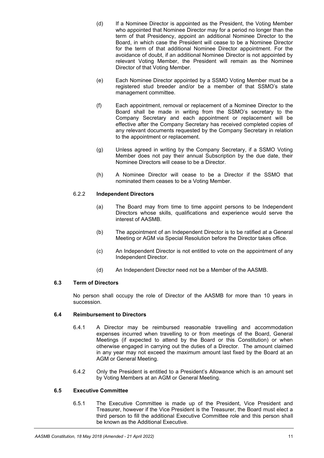- <span id="page-13-1"></span>(d) If a Nominee Director is appointed as the President, the Voting Member who appointed that Nominee Director may for a period no longer than the term of that Presidency, appoint an additional Nominee Director to the Board, in which case the President will cease to be a Nominee Director for the term of that additional Nominee Director appointment. For the avoidance of doubt, if an additional Nominee Director is not appointed by relevant Voting Member, the President will remain as the Nominee Director of that Voting Member.
- (e) Each Nominee Director appointed by a SSMO Voting Member must be a registered stud breeder and/or be a member of that SSMO's state management committee.
- (f) Each appointment, removal or replacement of a Nominee Director to the Board shall be made in writing from the SSMO's secretary to the Company Secretary and each appointment or replacement will be effective after the Company Secretary has received completed copies of any relevant documents requested by the Company Secretary in relation to the appointment or replacement.
- (g) Unless agreed in writing by the Company Secretary, if a SSMO Voting Member does not pay their annual Subscription by the due date, their Nominee Directors will cease to be a Director.
- (h) A Nominee Director will cease to be a Director if the SSMO that nominated them ceases to be a Voting Member.

## <span id="page-13-6"></span><span id="page-13-3"></span><span id="page-13-2"></span>6.2.2 **Independent Directors**

- (a) The Board may from time to time appoint persons to be Independent Directors whose skills, qualifications and experience would serve the interest of AASMB.
- (b) The appointment of an Independent Director is to be ratified at a General Meeting or AGM via Special Resolution before the Director takes office.
- (c) An Independent Director is not entitled to vote on the appointment of any Independent Director.
- (d) An Independent Director need not be a Member of the AASMB.

## <span id="page-13-4"></span>**6.3 Term of Directors**

No person shall occupy the role of Director of the AASMB for more than 10 years in succession.

## <span id="page-13-0"></span>**6.4 Reimbursement to Directors**

- 6.4.1 A Director may be reimbursed reasonable travelling and accommodation expenses incurred when travelling to or from meetings of the Board, General Meetings (if expected to attend by the Board or this Constitution) or when otherwise engaged in carrying out the duties of a Director. The amount claimed in any year may not exceed the maximum amount last fixed by the Board at an AGM or General Meeting.
- 6.4.2 Only the President is entitled to a President's Allowance which is an amount set by Voting Members at an AGM or General Meeting.

## <span id="page-13-5"></span>**6.5 Executive Committee**

6.5.1 The Executive Committee is made up of the President, Vice President and Treasurer, however if the Vice President is the Treasurer, the Board must elect a third person to fill the additional Executive Committee role and this person shall be known as the Additional Executive.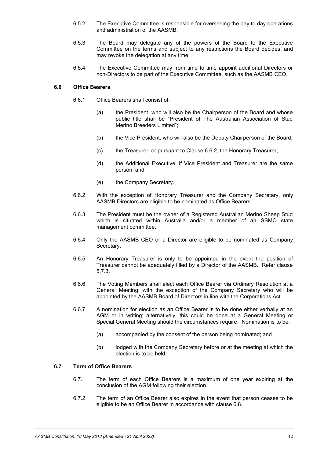- 6.5.2 The Executive Committee is responsible for overseeing the day to day operations and administration of the AASMB.
- 6.5.3 The Board may delegate any of the powers of the Board to the Executive Committee on the terms and subject to any restrictions the Board decides, and may revoke the delegation at any time.
- 6.5.4 The Executive Committee may from time to time appoint additional Directors or non-Directors to be part of the Executive Committee, such as the AASMB CEO.

#### **6.6 Office Bearers**

- 6.6.1 Office Bearers shall consist of:
	- (a) the President, who will also be the Chairperson of the Board and whose public title shall be "President of The Australian Association of Stud Merino Breeders Limited";
	- (b) the Vice President, who will also be the Deputy Chairperson of the Board;
	- (c) the Treasurer; or pursuant to Clause [6.6.2,](#page-14-1) the Honorary Treasurer;
	- (d) the Additional Executive, if Vice President and Treasurer are the same person; and
	- (e) the Company Secretary.
- <span id="page-14-1"></span>6.6.2 With the exception of Honorary Treasurer and the Company Secretary, only AASMB Directors are eligible to be nominated as Office Bearers.
- 6.6.3 The President must be the owner of a Registered Australian Merino Sheep Stud which is situated within Australia and/or a member of an SSMO state management committee.
- 6.6.4 Only the AASMB CEO or a Director are eligible to be nominated as Company Secretary.
- <span id="page-14-0"></span>6.6.5 An Honorary Treasurer is only to be appointed in the event the position of Treasurer cannot be adequately filled by a Director of the AASMB. Refer clause [5.7.3.](#page-11-1)
- <span id="page-14-2"></span>6.6.6 The Voting Members shall elect each Office Bearer via Ordinary Resolution at a General Meeting; with the exception of the Company Secretary who will be appointed by the AASMB Board of Directors in line with the Corporations Act.
- 6.6.7 A nomination for election as an Office Bearer is to be done either verbally at an AGM or in writing; alternatively, this could be done at a General Meeting or Special General Meeting should the circumstances require. Nomination is to be:
	- (a) accompanied by the consent of the person being nominated; and
	- (b) lodged with the Company Secretary before or at the meeting at which the election is to be held.

## **6.7 Term of Office Bearers**

- 6.7.1 The term of each Office Bearers is a maximum of one year expiring at the conclusion of the AGM following their election.
- 6.7.2 The term of an Office Bearer also expires in the event that person ceases to be eligible to be an Office Bearer in accordance with clause [6.8.](#page-15-0)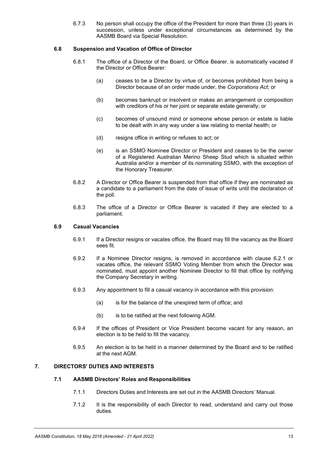6.7.3 No person shall occupy the office of the President for more than three (3) years in succession, unless under exceptional circumstances as determined by the AASMB Board via Special Resolution.

## <span id="page-15-0"></span>**6.8 Suspension and Vacation of Office of Director**

- 6.8.1 The office of a Director of the Board, or Office Bearer, is automatically vacated if the Director or Office Bearer:
	- (a) ceases to be a Director by virtue of, or becomes prohibited from being a Director because of an order made under, the *Corporations Act*; or
	- (b) becomes bankrupt or insolvent or makes an arrangement or composition with creditors of his or her joint or separate estate generally; or
	- (c) becomes of unsound mind or someone whose person or estate is liable to be dealt with in any way under a law relating to mental health; or
	- (d) resigns office in writing or refuses to act; or
	- (e) is an SSMO Nominee Director or President and ceases to be the owner of a Registered Australian Merino Sheep Stud which is situated within Australia and/or a member of its nominating SSMO, with the exception of the Honorary Treasurer.
- 6.8.2 A Director or Office Bearer is suspended from that office if they are nominated as a candidate to a parliament from the date of issue of writs until the declaration of the poll.
- 6.8.3 The office of a Director or Office Bearer is vacated if they are elected to a parliament.

## **6.9 Casual Vacancies**

- 6.9.1 If a Director resigns or vacates office, the Board may fill the vacancy as the Board sees fit.
- 6.9.2 If a Nominee Director resigns, is removed in accordance with clause [6.2.1](#page-12-1) or vacates office, the relevant SSMO Voting Member from which the Director was nominated, must appoint another Nominee Director to fill that office by notifying the Company Secretary in writing.
- 6.9.3 Any appointment to fill a casual vacancy in accordance with this provision:
	- (a) is for the balance of the unexpired term of office; and
	- (b) is to be ratified at the next following AGM.
- 6.9.4 If the offices of President or Vice President become vacant for any reason, an election is to be held to fill the vacancy.
- 6.9.5 An election is to be held in a manner determined by the Board and to be ratified at the next AGM.

# **7. DIRECTORS' DUTIES AND INTERESTS**

#### **7.1 AASMB Directors' Roles and Responsibilities**

- 7.1.1 Directors Duties and Interests are set out in the AASMB Directors' Manual.
- 7.1.2 It is the responsibility of each Director to read, understand and carry out those duties.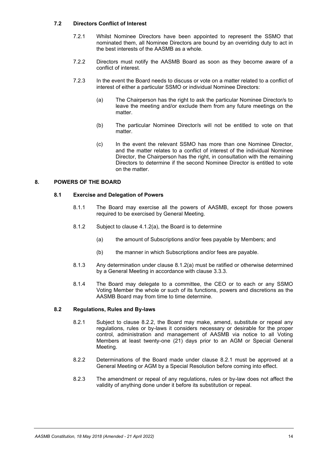## **7.2 Directors Conflict of Interest**

- 7.2.1 Whilst Nominee Directors have been appointed to represent the SSMO that nominated them, all Nominee Directors are bound by an overriding duty to act in the best interests of the AASMB as a whole.
- 7.2.2 Directors must notify the AASMB Board as soon as they become aware of a conflict of interest.
- 7.2.3 In the event the Board needs to discuss or vote on a matter related to a conflict of interest of either a particular SSMO or individual Nominee Directors:
	- (a) The Chairperson has the right to ask the particular Nominee Director/s to leave the meeting and/or exclude them from any future meetings on the matter.
	- (b) The particular Nominee Director/s will not be entitled to vote on that matter.
	- (c) In the event the relevant SSMO has more than one Nominee Director, and the matter relates to a conflict of interest of the individual Nominee Director, the Chairperson has the right, in consultation with the remaining Directors to determine if the second Nominee Director is entitled to vote on the matter.

## **8. POWERS OF THE BOARD**

## **8.1 Exercise and Delegation of Powers**

- 8.1.1 The Board may exercise all the powers of AASMB, except for those powers required to be exercised by General Meeting.
- <span id="page-16-0"></span>8.1.2 Subject to clause [4.1.2\(a\),](#page-8-0) the Board is to determine
	- (a) the amount of Subscriptions and/or fees payable by Members; and
	- (b) the manner in which Subscriptions and/or fees are payable.
- 8.1.3 Any determination under clause [8.1.2\(a\)](#page-16-0) must be ratified or otherwise determined by a General Meeting in accordance with clause [3.3.3.](#page-6-1)
- 8.1.4 The Board may delegate to a committee, the CEO or to each or any SSMO Voting Member the whole or such of its functions, powers and discretions as the AASMB Board may from time to time determine.

## <span id="page-16-2"></span>**8.2 Regulations, Rules and By-laws**

- 8.2.1 Subject to clause [8.2.2,](#page-16-1) the Board may make, amend, substitute or repeal any regulations, rules or by-laws it considers necessary or desirable for the proper control, administration and management of AASMB via notice to all Voting Members at least twenty-one (21) days prior to an AGM or Special General Meeting.
- <span id="page-16-1"></span>8.2.2 Determinations of the Board made under clause [8.2.1](#page-16-2) must be approved at a General Meeting or AGM by a Special Resolution before coming into effect.
- 8.2.3 The amendment or repeal of any regulations, rules or by-law does not affect the validity of anything done under it before its substitution or repeal.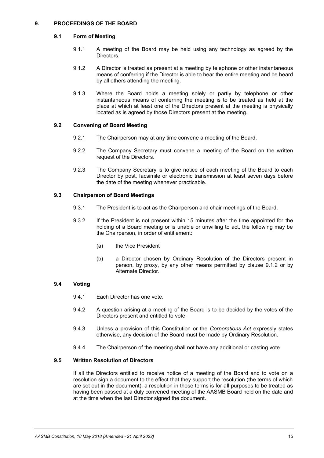## **9. PROCEEDINGS OF THE BOARD**

## <span id="page-17-0"></span>**9.1 Form of Meeting**

- 9.1.1 A meeting of the Board may be held using any technology as agreed by the Directors.
- 9.1.2 A Director is treated as present at a meeting by telephone or other instantaneous means of conferring if the Director is able to hear the entire meeting and be heard by all others attending the meeting.
- 9.1.3 Where the Board holds a meeting solely or partly by telephone or other instantaneous means of conferring the meeting is to be treated as held at the place at which at least one of the Directors present at the meeting is physically located as is agreed by those Directors present at the meeting.

## **9.2 Convening of Board Meeting**

- 9.2.1 The Chairperson may at any time convene a meeting of the Board.
- 9.2.2 The Company Secretary must convene a meeting of the Board on the written request of the Directors.
- 9.2.3 The Company Secretary is to give notice of each meeting of the Board to each Director by post, facsimile or electronic transmission at least seven days before the date of the meeting whenever practicable.

## **9.3 Chairperson of Board Meetings**

- 9.3.1 The President is to act as the Chairperson and chair meetings of the Board.
- 9.3.2 If the President is not present within 15 minutes after the time appointed for the holding of a Board meeting or is unable or unwilling to act, the following may be the Chairperson, in order of entitlement:
	- (a) the Vice President
	- (b) a Director chosen by Ordinary Resolution of the Directors present in person, by proxy, by any other means permitted by clause [9.1.2](#page-17-0) or by Alternate Director.

## **9.4 Voting**

- 9.4.1 Each Director has one vote.
- 9.4.2 A question arising at a meeting of the Board is to be decided by the votes of the Directors present and entitled to vote.
- 9.4.3 Unless a provision of this Constitution or the *Corporations Act* expressly states otherwise, any decision of the Board must be made by Ordinary Resolution.
- 9.4.4 The Chairperson of the meeting shall not have any additional or casting vote.

## <span id="page-17-1"></span>**9.5 Written Resolution of Directors**

If all the Directors entitled to receive notice of a meeting of the Board and to vote on a resolution sign a document to the effect that they support the resolution (the terms of which are set out in the document), a resolution in those terms is for all purposes to be treated as having been passed at a duly convened meeting of the AASMB Board held on the date and at the time when the last Director signed the document.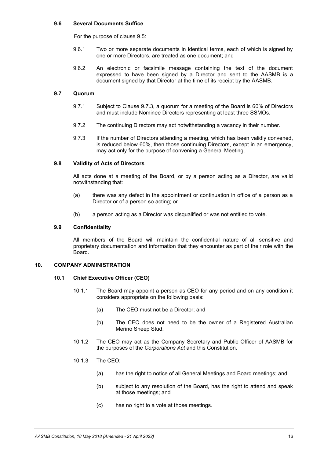#### **9.6 Several Documents Suffice**

For the purpose of clause [9.5:](#page-17-1)

- 9.6.1 Two or more separate documents in identical terms, each of which is signed by one or more Directors, are treated as one document; and
- 9.6.2 An electronic or facsimile message containing the text of the document expressed to have been signed by a Director and sent to the AASMB is a document signed by that Director at the time of its receipt by the AASMB.

#### **9.7 Quorum**

- 9.7.1 Subject to Clause 9.7.3, a quorum for a meeting of the Board is 60% of Directors and must include Nominee Directors representing at least three SSMOs.
- 9.7.2 The continuing Directors may act notwithstanding a vacancy in their number.
- 9.7.3 If the number of Directors attending a meeting, which has been validly convened, is reduced below 60%, then those continuing Directors, except in an emergency, may act only for the purpose of convening a General Meeting.

## **9.8 Validity of Acts of Directors**

All acts done at a meeting of the Board, or by a person acting as a Director, are valid notwithstanding that:

- (a) there was any defect in the appointment or continuation in office of a person as a Director or of a person so acting; or
- (b) a person acting as a Director was disqualified or was not entitled to vote.

#### **9.9 Confidentiality**

All members of the Board will maintain the confidential nature of all sensitive and proprietary documentation and information that they encounter as part of their role with the Board.

## **10. COMPANY ADMINISTRATION**

#### <span id="page-18-0"></span>**10.1 Chief Executive Officer (CEO)**

- 10.1.1 The Board may appoint a person as CEO for any period and on any condition it considers appropriate on the following basis:
	- (a) The CEO must not be a Director; and
	- (b) The CEO does not need to be the owner of a Registered Australian Merino Sheep Stud.
- 10.1.2 The CEO may act as the Company Secretary and Public Officer of AASMB for the purposes of the *Corporations Act* and this Constitution.
- 10.1.3 The CEO:
	- (a) has the right to notice of all General Meetings and Board meetings; and
	- (b) subject to any resolution of the Board, has the right to attend and speak at those meetings; and
	- (c) has no right to a vote at those meetings.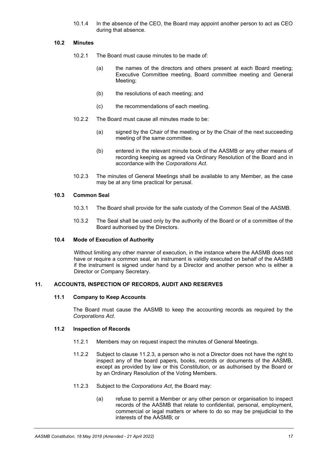10.1.4 In the absence of the CEO, the Board may appoint another person to act as CEO during that absence.

## **10.2 Minutes**

- 10.2.1 The Board must cause minutes to be made of:
	- (a) the names of the directors and others present at each Board meeting; Executive Committee meeting, Board committee meeting and General Meeting;
	- (b) the resolutions of each meeting; and
	- (c) the recommendations of each meeting.
- 10.2.2 The Board must cause all minutes made to be:
	- (a) signed by the Chair of the meeting or by the Chair of the next succeeding meeting of the same committee.
	- (b) entered in the relevant minute book of the AASMB or any other means of recording keeping as agreed via Ordinary Resolution of the Board and in accordance with the *Corporations Act*.
- 10.2.3 The minutes of General Meetings shall be available to any Member, as the case may be at any time practical for perusal.

#### **10.3 Common Seal**

- 10.3.1 The Board shall provide for the safe custody of the Common Seal of the AASMB.
- 10.3.2 The Seal shall be used only by the authority of the Board or of a committee of the Board authorised by the Directors.

#### **10.4 Mode of Execution of Authority**

Without limiting any other manner of execution, in the instance where the AASMB does not have or require a common seal, an instrument is validly executed on behalf of the AASMB if the instrument is signed under hand by a Director and another person who is either a Director or Company Secretary.

#### **11. ACCOUNTS, INSPECTION OF RECORDS, AUDIT AND RESERVES**

#### **11.1 Company to Keep Accounts**

The Board must cause the AASMB to keep the accounting records as required by the *Corporations Act*.

#### **11.2 Inspection of Records**

- 11.2.1 Members may on request inspect the minutes of General Meetings.
- 11.2.2 Subject to clause [11.2.3,](#page-19-0) a person who is not a Director does not have the right to inspect any of the board papers, books, records or documents of the AASMB, except as provided by law or this Constitution, or as authorised by the Board or by an Ordinary Resolution of the Voting Members.
- <span id="page-19-0"></span>11.2.3 Subject to the *Corporations Act*, the Board may:
	- (a) refuse to permit a Member or any other person or organisation to inspect records of the AASMB that relate to confidential, personal, employment, commercial or legal matters or where to do so may be prejudicial to the interests of the AASMB; or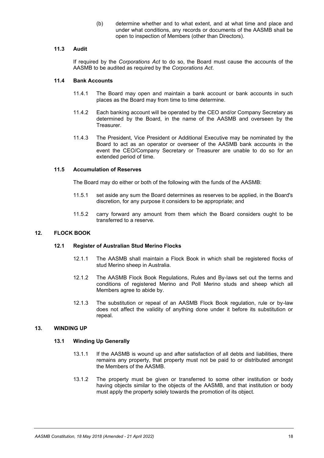(b) determine whether and to what extent, and at what time and place and under what conditions, any records or documents of the AASMB shall be open to inspection of Members (other than Directors).

#### **11.3 Audit**

If required by the *Corporations Act* to do so, the Board must cause the accounts of the AASMB to be audited as required by the *Corporations Act*.

## **11.4 Bank Accounts**

- 11.4.1 The Board may open and maintain a bank account or bank accounts in such places as the Board may from time to time determine.
- 11.4.2 Each banking account will be operated by the CEO and/or Company Secretary as determined by the Board, in the name of the AASMB and overseen by the Treasurer.
- 11.4.3 The President, Vice President or Additional Executive may be nominated by the Board to act as an operator or overseer of the AASMB bank accounts in the event the CEO/Company Secretary or Treasurer are unable to do so for an extended period of time.

## **11.5 Accumulation of Reserves**

The Board may do either or both of the following with the funds of the AASMB:

- 11.5.1 set aside any sum the Board determines as reserves to be applied, in the Board's discretion, for any purpose it considers to be appropriate; and
- 11.5.2 carry forward any amount from them which the Board considers ought to be transferred to a reserve.

## **12. FLOCK BOOK**

#### <span id="page-20-0"></span>**12.1 Register of Australian Stud Merino Flocks**

- 12.1.1 The AASMB shall maintain a Flock Book in which shall be registered flocks of stud Merino sheep in Australia.
- 12.1.2 The AASMB Flock Book Regulations, Rules and By-laws set out the terms and conditions of registered Merino and Poll Merino studs and sheep which all Members agree to abide by.
- 12.1.3 The substitution or repeal of an AASMB Flock Book regulation, rule or by-law does not affect the validity of anything done under it before its substitution or repeal.

#### **13. WINDING UP**

#### **13.1 Winding Up Generally**

- 13.1.1 If the AASMB is wound up and after satisfaction of all debts and liabilities, there remains any property, that property must not be paid to or distributed amongst the Members of the AASMB.
- 13.1.2 The property must be given or transferred to some other institution or body having objects similar to the objects of the AASMB, and that institution or body must apply the property solely towards the promotion of its object.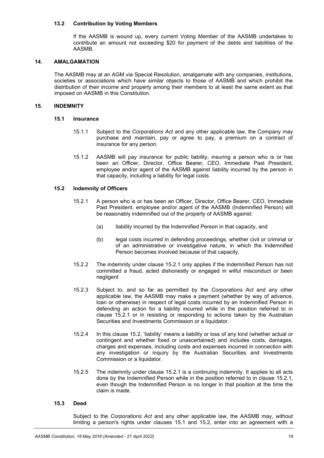#### **13.2 Contribution by Voting Members**

If the AASMB is wound up, every current Voting Member of the AASMB undertakes to contribute an amount not exceeding \$20 for payment of the debts and liabilities of the AASMB.

#### **14. AMALGAMATION**

The AASMB may at an AGM via Special Resolution, amalgamate with any companies, institutions, societies or associations which have similar objects to those of AASMB and which prohibit the distribution of their income and property among their members to at least the same extent as that imposed on AASMB in this Constitution.

#### <span id="page-21-2"></span>**15. INDEMNITY**

#### **15.1 Insurance**

- 15.1.1 Subject to the *Corporations Act* and any other applicable law, the Company may purchase and maintain, pay or agree to pay, a premium on a contract of insurance for any person.
- 15.1.2 AASMB will pay insurance for public liability, insuring a person who is or has been an Officer, Director, Office Bearer, CEO, Immediate Past President, employee and/or agent of the AASMB against liability incurred by the person in that capacity, including a liability for legal costs.

## <span id="page-21-1"></span><span id="page-21-0"></span>**15.2 Indemnity of Officers**

- 15.2.1 A person who is or has been an Officer, Director, Office Bearer, CEO, Immediate Past President, employee and/or agent of the AASMB (Indemnified Person) will be reasonably indemnified out of the property of AASMB against:
	- (a) liability incurred by the Indemnified Person in that capacity, and
	- (b) legal costs incurred in defending proceedings, whether civil or criminal or of an administrative or investigative nature, in which the Indemnified Person becomes involved because of that capacity.
- 15.2.2 The indemnity under clause [15.2.1](#page-21-0) only applies if the Indemnified Person has not committed a fraud, acted dishonestly or engaged in wilful misconduct or been negligent
- 15.2.3 Subject to, and so far as permitted by the *Corporations Act* and any other applicable law, the AASMB may make a payment (whether by way of advance, loan or otherwise) in respect of legal costs incurred by an Indemnified Person in defending an action for a liability incurred while in the position referred to in clause [15.2.1](#page-21-0) or in resisting or responding to actions taken by the Australian Securities and Investments Commission or a liquidator.
- 15.2.4 In this clause [15.2](#page-21-1), 'liability' means a liability or loss of any kind (whether actual or contingent and whether fixed or unascertained) and includes costs, damages, charges and expenses, including costs and expenses incurred in connection with any investigation or inquiry by the Australian Securities and Investments Commission or a liquidator.
- 15.2.5 The indemnity under clause [15.2.1](#page-21-0) is a continuing indemnity. It applies to all acts done by the Indemnified Person while in the position referred to in clause [15.2.1,](#page-21-0) even though the Indemnified Person is no longer in that position at the time the claim is made.

#### **15.3 Deed**

Subject to the *Corporations Act* and any other applicable law, the AASMB may, without limiting a person's rights under clauses [15.1](#page-21-2) and [15.2,](#page-21-1) enter into an agreement with a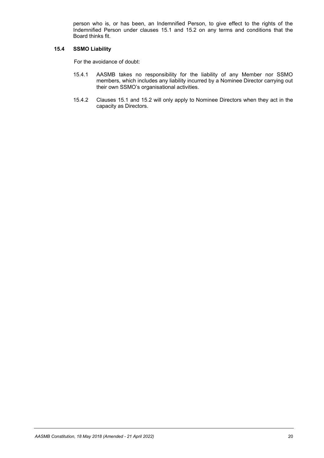person who is, or has been, an Indemnified Person, to give effect to the rights of the Indemnified Person under clauses [15.1](#page-21-2) and [15.2](#page-21-1) on any terms and conditions that the Board thinks fit.

## **15.4 SSMO Liability**

For the avoidance of doubt:

- 15.4.1 AASMB takes no responsibility for the liability of any Member nor SSMO members, which includes any liability incurred by a Nominee Director carrying out their own SSMO's organisational activities.
- 15.4.2 Clauses [15.1](#page-21-2) and [15.2](#page-21-1) will only apply to Nominee Directors when they act in the capacity as Directors.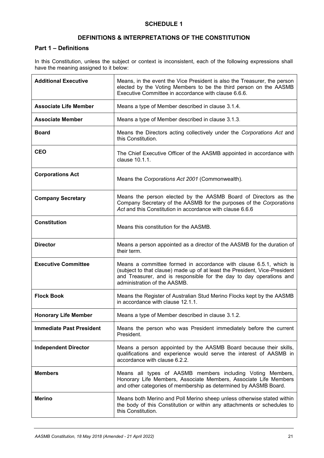# **SCHEDULE 1**

# **DEFINITIONS & INTERPRETATIONS OF THE CONSTITUTION**

# **Part 1 – Definitions**

In this Constitution, unless the subject or context is inconsistent, each of the following expressions shall have the meaning assigned to it below:

| <b>Additional Executive</b>     | Means, in the event the Vice President is also the Treasurer, the person<br>elected by the Voting Members to be the third person on the AASMB<br>Executive Committee in accordance with clause 6.6.6.                                                   |  |  |
|---------------------------------|---------------------------------------------------------------------------------------------------------------------------------------------------------------------------------------------------------------------------------------------------------|--|--|
| <b>Associate Life Member</b>    | Means a type of Member described in clause 3.1.4.                                                                                                                                                                                                       |  |  |
| <b>Associate Member</b>         | Means a type of Member described in clause 3.1.3.                                                                                                                                                                                                       |  |  |
| <b>Board</b>                    | Means the Directors acting collectively under the Corporations Act and<br>this Constitution.                                                                                                                                                            |  |  |
| <b>CEO</b>                      | The Chief Executive Officer of the AASMB appointed in accordance with<br>clause 10.1.1.                                                                                                                                                                 |  |  |
| <b>Corporations Act</b>         | Means the Corporations Act 2001 (Commonwealth).                                                                                                                                                                                                         |  |  |
| <b>Company Secretary</b>        | Means the person elected by the AASMB Board of Directors as the<br>Company Secretary of the AASMB for the purposes of the Corporations<br>Act and this Constitution in accordance with clause 6.6.6                                                     |  |  |
| <b>Constitution</b>             | Means this constitution for the AASMB.                                                                                                                                                                                                                  |  |  |
| <b>Director</b>                 | Means a person appointed as a director of the AASMB for the duration of<br>their term.                                                                                                                                                                  |  |  |
| <b>Executive Committee</b>      | Means a committee formed in accordance with clause 6.5.1, which is<br>(subject to that clause) made up of at least the President, Vice-President<br>and Treasurer, and is responsible for the day to day operations and<br>administration of the AASMB. |  |  |
| <b>Flock Book</b>               | Means the Register of Australian Stud Merino Flocks kept by the AASMB<br>in accordance with clause 12.1.1.                                                                                                                                              |  |  |
| <b>Honorary Life Member</b>     | Means a type of Member described in clause 3.1.2.                                                                                                                                                                                                       |  |  |
| <b>Immediate Past President</b> | Means the person who was President immediately before the current<br>President.                                                                                                                                                                         |  |  |
| <b>Independent Director</b>     | Means a person appointed by the AASMB Board because their skills,<br>qualifications and experience would serve the interest of AASMB in<br>accordance with clause 6.2.2.                                                                                |  |  |
| <b>Members</b>                  | Means all types of AASMB members including Voting Members,<br>Honorary Life Members, Associate Members, Associate Life Members<br>and other categories of membership as determined by AASMB Board.                                                      |  |  |
| <b>Merino</b>                   | Means both Merino and Poll Merino sheep unless otherwise stated within<br>the body of this Constitution or within any attachments or schedules to<br>this Constitution.                                                                                 |  |  |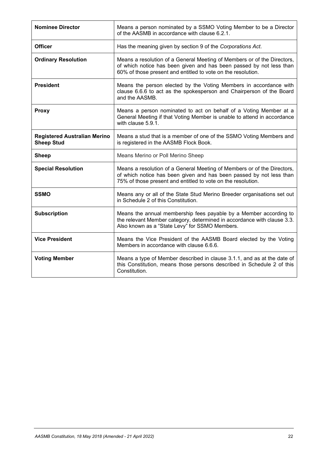| <b>Nominee Director</b>                                  | Means a person nominated by a SSMO Voting Member to be a Director<br>of the AASMB in accordance with clause 6.2.1.                                                                                             |  |  |
|----------------------------------------------------------|----------------------------------------------------------------------------------------------------------------------------------------------------------------------------------------------------------------|--|--|
| <b>Officer</b>                                           | Has the meaning given by section 9 of the Corporations Act.                                                                                                                                                    |  |  |
| <b>Ordinary Resolution</b>                               | Means a resolution of a General Meeting of Members or of the Directors,<br>of which notice has been given and has been passed by not less than<br>60% of those present and entitled to vote on the resolution. |  |  |
| <b>President</b>                                         | Means the person elected by the Voting Members in accordance with<br>clause 6.6.6 to act as the spokesperson and Chairperson of the Board<br>and the AASMB.                                                    |  |  |
| <b>Proxy</b>                                             | Means a person nominated to act on behalf of a Voting Member at a<br>General Meeting if that Voting Member is unable to attend in accordance<br>with clause 5.9.1.                                             |  |  |
| <b>Registered Australian Merino</b><br><b>Sheep Stud</b> | Means a stud that is a member of one of the SSMO Voting Members and<br>is registered in the AASMB Flock Book.                                                                                                  |  |  |
| <b>Sheep</b>                                             | Means Merino or Poll Merino Sheep                                                                                                                                                                              |  |  |
| <b>Special Resolution</b>                                | Means a resolution of a General Meeting of Members or of the Directors,<br>of which notice has been given and has been passed by not less than<br>75% of those present and entitled to vote on the resolution. |  |  |
| <b>SSMO</b>                                              | Means any or all of the State Stud Merino Breeder organisations set out<br>in Schedule 2 of this Constitution.                                                                                                 |  |  |
| <b>Subscription</b>                                      | Means the annual membership fees payable by a Member according to<br>the relevant Member category, determined in accordance with clause 3.3.<br>Also known as a "State Levy" for SSMO Members.                 |  |  |
| <b>Vice President</b>                                    | Means the Vice President of the AASMB Board elected by the Voting<br>Members in accordance with clause 6.6.6.                                                                                                  |  |  |
| <b>Voting Member</b>                                     | Means a type of Member described in clause 3.1.1, and as at the date of<br>this Constitution, means those persons described in Schedule 2 of this<br>Constitution.                                             |  |  |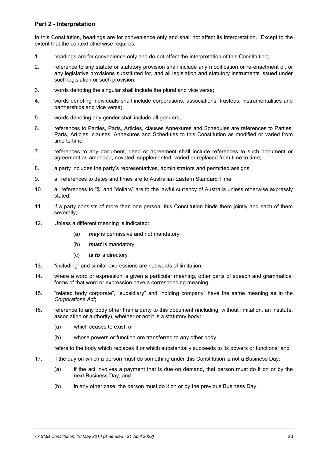# **Part 2 - Interpretation**

In this Constitution, headings are for convenience only and shall not affect its interpretation. Except to the extent that the context otherwise requires:

- 1. headings are for convenience only and do not affect the interpretation of this Constitution;
- 2. reference to any statute or statutory provision shall include any modification or re-enactment of, or any legislative provisions substituted for, and all legislation and statutory instruments issued under such legislation or such provision;
- 3. words denoting the singular shall include the plural and vice versa;
- 4. words denoting individuals shall include corporations, associations, trustees, instrumentalities and partnerships and vice versa;
- 5. words denoting any gender shall include all genders;
- 6. references to Parties, Parts, Articles, clauses Annexures and Schedules are references to Parties, Parts, Articles, clauses, Annexures and Schedules to this Constitution as modified or varied from time to time;
- 7. references to any document, deed or agreement shall include references to such document or agreement as amended, novated, supplemented, varied or replaced from time to time;
- 8. a party includes the party's representatives, administrators and permitted assigns;
- 9. all references to dates and times are to Australian Eastern Standard Time;
- 10. all references to "\$" and "dollars" are to the lawful currency of Australia unless otherwise expressly stated;
- 11. if a party consists of more than one person, this Constitution binds them jointly and each of them severally;
- 12. Unless a different meaning is indicated:
	- (a) *may* is permissive and not mandatory;
	- (b) *must* is mandatory;
	- (c) *is to* is directory
- 13. "including" and similar expressions are not words of limitation;
- 14. where a word or expression is given a particular meaning, other parts of speech and grammatical forms of that word or expression have a corresponding meaning;
- 15. "related body corporate", "subsidiary" and "holding company" have the same meaning as in the *Corporations Act*;
- 16. reference to any body other than a party to this document (including, without limitation, an institute, association or authority), whether or not it is a statutory body:
	- (a) which ceases to exist, or
	- (b) whose powers or function are transferred to any other body,

refers to the body which replaces it or which substantially succeeds to its powers or functions; and

- 17. if the day on which a person must do something under this Constitution is not a Business Day:
	- (a) if the act involves a payment that is due on demand, that person must do it on or by the next Business Day; and
	- (b) in any other case, the person must do it on or by the previous Business Day.